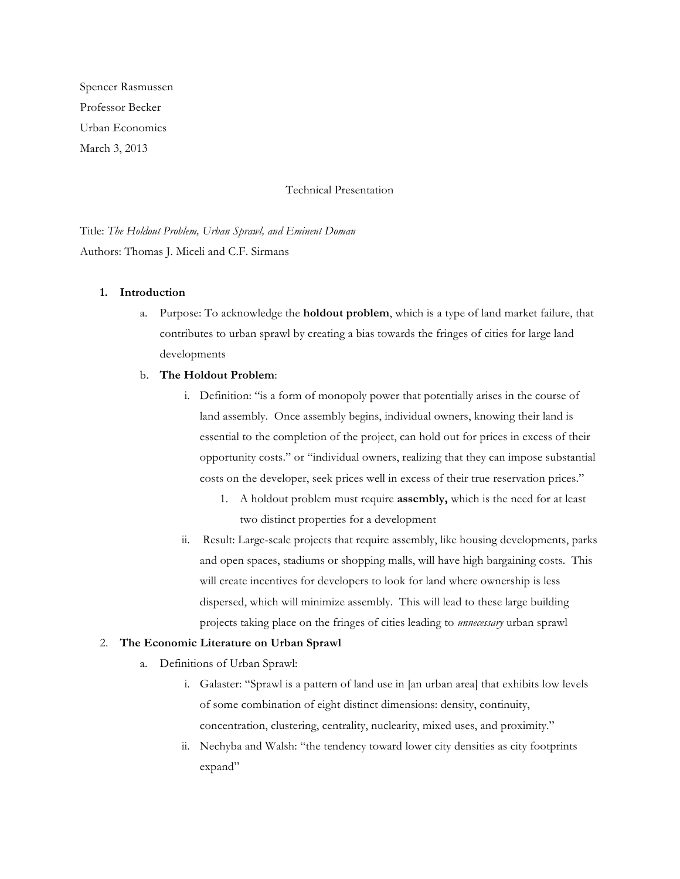Spencer Rasmussen Professor Becker Urban Economics March 3, 2013

## Technical Presentation

Title: *The Holdout Problem, Urban Sprawl, and Eminent Doman* Authors: Thomas J. Miceli and C.F. Sirmans

## **1. Introduction**

a. Purpose: To acknowledge the **holdout problem**, which is a type of land market failure, that contributes to urban sprawl by creating a bias towards the fringes of cities for large land developments

## b. **The Holdout Problem**:

- i. Definition: "is a form of monopoly power that potentially arises in the course of land assembly. Once assembly begins, individual owners, knowing their land is essential to the completion of the project, can hold out for prices in excess of their opportunity costs." or "individual owners, realizing that they can impose substantial costs on the developer, seek prices well in excess of their true reservation prices."
	- 1. A holdout problem must require **assembly,** which is the need for at least two distinct properties for a development
- ii. Result: Large-scale projects that require assembly, like housing developments, parks and open spaces, stadiums or shopping malls, will have high bargaining costs. This will create incentives for developers to look for land where ownership is less dispersed, which will minimize assembly. This will lead to these large building projects taking place on the fringes of cities leading to *unnecessary* urban sprawl

# 2. **The Economic Literature on Urban Sprawl**

- a. Definitions of Urban Sprawl:
	- i. Galaster: "Sprawl is a pattern of land use in [an urban area] that exhibits low levels of some combination of eight distinct dimensions: density, continuity, concentration, clustering, centrality, nuclearity, mixed uses, and proximity."
	- ii. Nechyba and Walsh: "the tendency toward lower city densities as city footprints expand"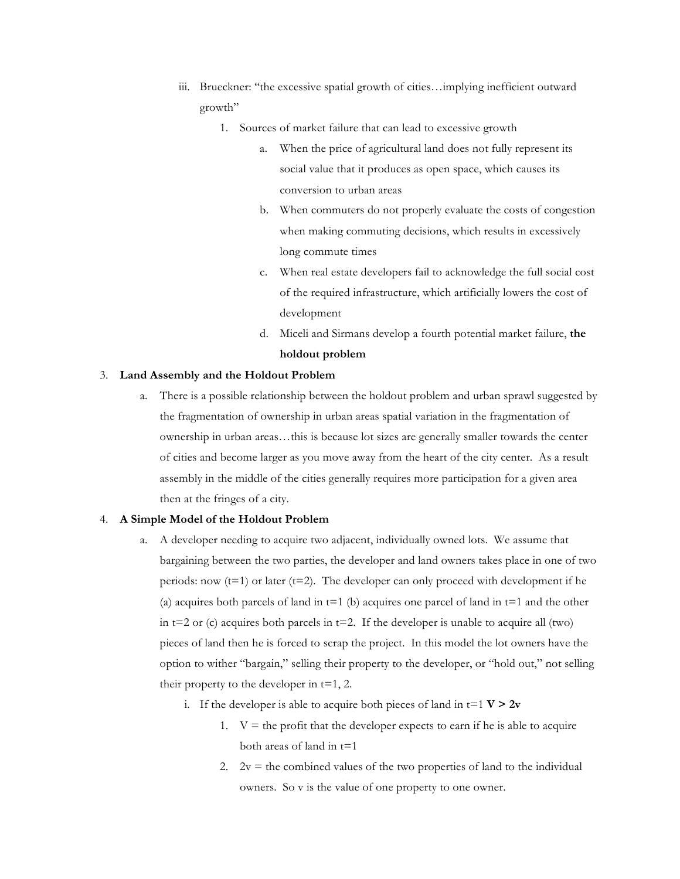- iii. Brueckner: "the excessive spatial growth of cities…implying inefficient outward growth"
	- 1. Sources of market failure that can lead to excessive growth
		- a. When the price of agricultural land does not fully represent its social value that it produces as open space, which causes its conversion to urban areas
		- b. When commuters do not properly evaluate the costs of congestion when making commuting decisions, which results in excessively long commute times
		- c. When real estate developers fail to acknowledge the full social cost of the required infrastructure, which artificially lowers the cost of development
		- d. Miceli and Sirmans develop a fourth potential market failure, **the holdout problem**

## 3. **Land Assembly and the Holdout Problem**

a. There is a possible relationship between the holdout problem and urban sprawl suggested by the fragmentation of ownership in urban areas spatial variation in the fragmentation of ownership in urban areas…this is because lot sizes are generally smaller towards the center of cities and become larger as you move away from the heart of the city center. As a result assembly in the middle of the cities generally requires more participation for a given area then at the fringes of a city.

## 4. **A Simple Model of the Holdout Problem**

- a. A developer needing to acquire two adjacent, individually owned lots. We assume that bargaining between the two parties, the developer and land owners takes place in one of two periods: now  $(t=1)$  or later  $(t=2)$ . The developer can only proceed with development if he (a) acquires both parcels of land in  $t=1$  (b) acquires one parcel of land in  $t=1$  and the other in  $t=2$  or (c) acquires both parcels in  $t=2$ . If the developer is unable to acquire all (two) pieces of land then he is forced to scrap the project. In this model the lot owners have the option to wither "bargain," selling their property to the developer, or "hold out," not selling their property to the developer in  $t=1, 2$ .
	- i. If the developer is able to acquire both pieces of land in  $t=1$   $V > 2v$ 
		- 1.  $V =$  the profit that the developer expects to earn if he is able to acquire both areas of land in  $t=1$
		- 2.  $2v =$  the combined values of the two properties of land to the individual owners. So v is the value of one property to one owner.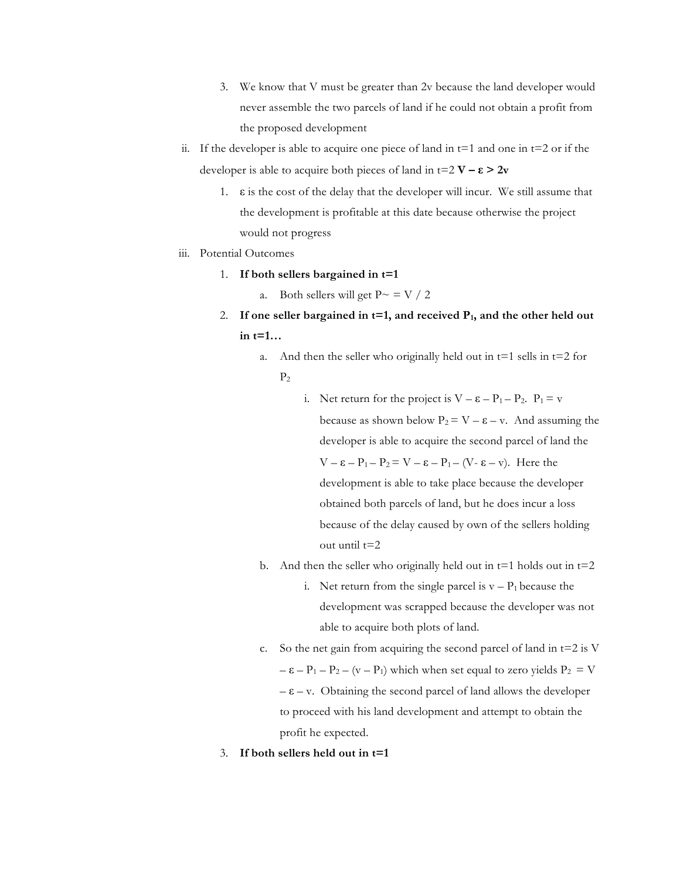- 3. We know that V must be greater than 2v because the land developer would never assemble the two parcels of land if he could not obtain a profit from the proposed development
- ii. If the developer is able to acquire one piece of land in  $t=1$  and one in  $t=2$  or if the developer is able to acquire both pieces of land in  $t=2$   $V - \varepsilon > 2v$ 
	- 1.  $\varepsilon$  is the cost of the delay that the developer will incur. We still assume that the development is profitable at this date because otherwise the project would not progress
- iii. Potential Outcomes
	- 1. **If both sellers bargained in t=1**
		- a. Both sellers will get  $P \sim$  = V / 2
	- 2. If one seller bargained in  $t=1$ , and received  $P_1$ , and the other held out **in t=1…**
		- a. And then the seller who originally held out in  $t=1$  sells in  $t=2$  for  $P<sub>2</sub>$ 
			- i. Net return for the project is  $V \varepsilon P_1 P_2$ .  $P_1 = v$ because as shown below  $P_2 = V - \varepsilon - v$ . And assuming the developer is able to acquire the second parcel of land the  $V - \varepsilon - P_1 - P_2 = V - \varepsilon - P_1 - (V - \varepsilon - v)$ . Here the development is able to take place because the developer obtained both parcels of land, but he does incur a loss because of the delay caused by own of the sellers holding out until t=2
		- b. And then the seller who originally held out in  $t=1$  holds out in  $t=2$ 
			- i. Net return from the single parcel is  $v P_1$  because the development was scrapped because the developer was not able to acquire both plots of land.
		- c. So the net gain from acquiring the second parcel of land in  $t=2$  is V  $- \varepsilon - P_1 - P_2 - (v - P_1)$  which when set equal to zero yields  $P_2 = V$  $-\varepsilon - v$ . Obtaining the second parcel of land allows the developer to proceed with his land development and attempt to obtain the profit he expected.
	- 3. **If both sellers held out in t=1**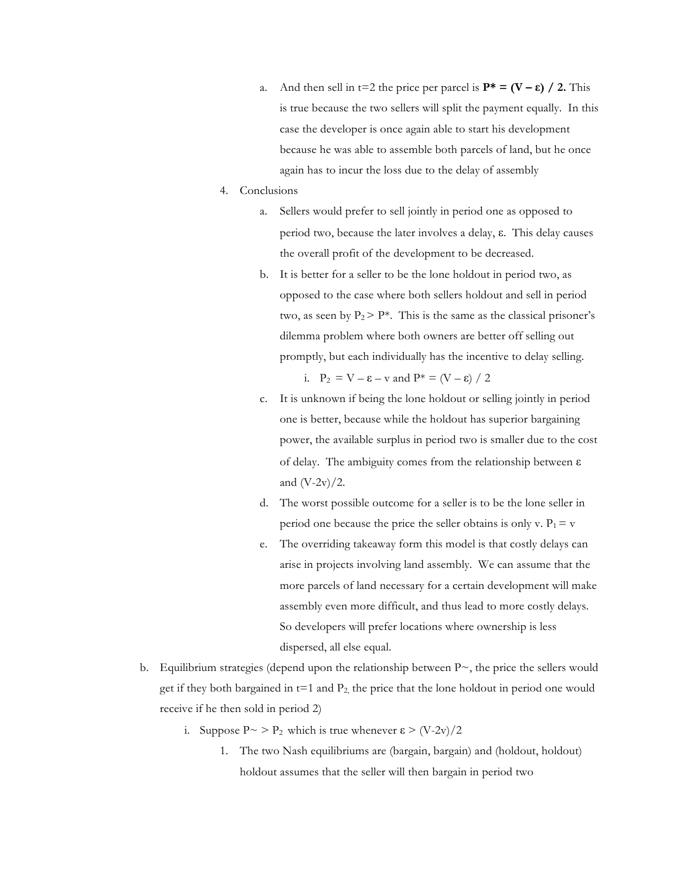- a. And then sell in  $t=2$  the price per parcel is  $P^* = (V \varepsilon) / 2$ . This is true because the two sellers will split the payment equally. In this case the developer is once again able to start his development because he was able to assemble both parcels of land, but he once again has to incur the loss due to the delay of assembly
- 4. Conclusions
	- a. Sellers would prefer to sell jointly in period one as opposed to period two, because the later involves a delay, ε. This delay causes the overall profit of the development to be decreased.
	- b. It is better for a seller to be the lone holdout in period two, as opposed to the case where both sellers holdout and sell in period two, as seen by  $P_2 > P^*$ . This is the same as the classical prisoner's dilemma problem where both owners are better off selling out promptly, but each individually has the incentive to delay selling.

i.  $P_2 = V - \varepsilon - v$  and  $P^* = (V - \varepsilon) / 2$ 

- c. It is unknown if being the lone holdout or selling jointly in period one is better, because while the holdout has superior bargaining power, the available surplus in period two is smaller due to the cost of delay. The ambiguity comes from the relationship between ε and  $(V-2v)/2$ .
- d. The worst possible outcome for a seller is to be the lone seller in period one because the price the seller obtains is only v.  $P_1 = v$
- e. The overriding takeaway form this model is that costly delays can arise in projects involving land assembly. We can assume that the more parcels of land necessary for a certain development will make assembly even more difficult, and thus lead to more costly delays. So developers will prefer locations where ownership is less dispersed, all else equal.
- b. Equilibrium strategies (depend upon the relationship between  $P_{\sim}$ , the price the sellers would get if they both bargained in  $t=1$  and  $P_2$ , the price that the lone holdout in period one would receive if he then sold in period 2)
	- i. Suppose  $P \sim P_2$  which is true whenever  $\varepsilon > (V-2v)/2$ 
		- 1. The two Nash equilibriums are (bargain, bargain) and (holdout, holdout) holdout assumes that the seller will then bargain in period two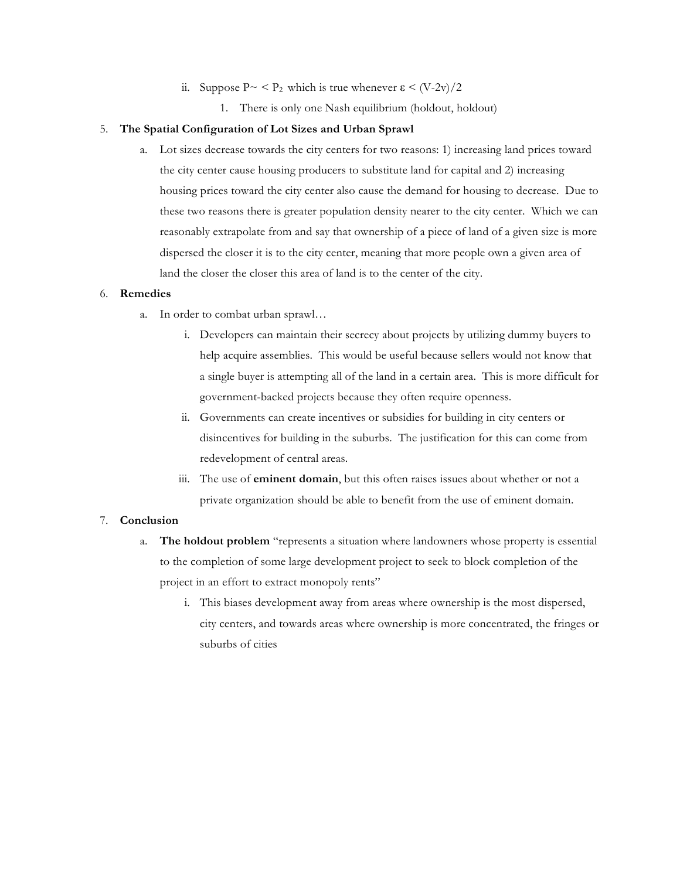- ii. Suppose  $P \sim \langle P_2 \rangle$  which is true whenever  $\epsilon \langle V_2 \rangle / 2$ 
	- 1. There is only one Nash equilibrium (holdout, holdout)

#### 5. **The Spatial Configuration of Lot Sizes and Urban Sprawl**

a. Lot sizes decrease towards the city centers for two reasons: 1) increasing land prices toward the city center cause housing producers to substitute land for capital and 2) increasing housing prices toward the city center also cause the demand for housing to decrease. Due to these two reasons there is greater population density nearer to the city center. Which we can reasonably extrapolate from and say that ownership of a piece of land of a given size is more dispersed the closer it is to the city center, meaning that more people own a given area of land the closer the closer this area of land is to the center of the city.

## 6. **Remedies**

- a. In order to combat urban sprawl…
	- i. Developers can maintain their secrecy about projects by utilizing dummy buyers to help acquire assemblies. This would be useful because sellers would not know that a single buyer is attempting all of the land in a certain area. This is more difficult for government-backed projects because they often require openness.
	- ii. Governments can create incentives or subsidies for building in city centers or disincentives for building in the suburbs. The justification for this can come from redevelopment of central areas.
	- iii. The use of **eminent domain**, but this often raises issues about whether or not a private organization should be able to benefit from the use of eminent domain.

# 7. **Conclusion**

- a. **The holdout problem** "represents a situation where landowners whose property is essential to the completion of some large development project to seek to block completion of the project in an effort to extract monopoly rents"
	- i. This biases development away from areas where ownership is the most dispersed, city centers, and towards areas where ownership is more concentrated, the fringes or suburbs of cities